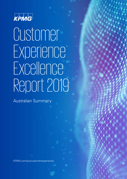

# **Customer Experience Excellence** Report 2019

Australian Summary

[KPMG.com/au/customerexperience](http://www.kpmg.com/au/customerexperience)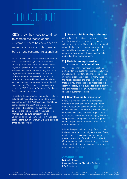# Introduction

CEOs know they need to continue to sharpen their focus on the customer – there has never been a more dynamic or complex time to build strong customer relationships.

Since our last Customer Experience Excellence Report, contextually significant events have put heightened public attention and increased regulatory pressure on business practices in Australia. As a result, we are finding that more organisations in the Australian market think of their customers as assets that should be nurtured and invested in – as well they should, as customer sentiments are mirroring this shift in perspective. These market changing events make our 2019 Customer Experience Excellence Report particularly relevant.

To capture the sentiment of the market we have asked 2,503 Australian consumers to rate their experience with 114 Australian and International brands across The Six Pillars of Customer Experience Excellence. This summary not only lists the Top 50 brands in the Australian market, but also puts perspective and understanding behind why the Top 10 Australian brands stand out. In our study we have identified three key takeaways:

#### **1 | Service with Integrity at the core**

A foundation of trust is a mandatory prerequisite to delivering authentic experiences that are valued by customers. The results of our research suggests that brands who are community-led are more likely to engage and resonate with customers over brands who are focused solely on building their customer base.

#### **2 | Holistic, enterprise-wide customer transformations**

Whilst we see many Australian organisations putting effort into customer experience initiatives in Australia, these efforts often fail to impact the customer experience at scale. In many cases, it's the holistic approach and breaking down of silos that's lacking. This needs to be recognised in a clear CX strategy that is supported at an executive level and realised through a fundamental cultural change to customer centricity.

### **3 | Seamless digital experience**

Finally, we find new, disruptive companies offering Australian consumers an experience that is purposefully designed and built with digital channels at the forefront. These digital-led companies challenge Australian organisations to overcome the burden of their legacy systems and processes, and provide a compelling omnichannel experience that remains reflective of their traditional brand.

While this report includes many of our top line findings, there are more insights to share. If you would like to discuss any aspect of this report, please contact one of the KPMG Customer & Operations team to learn how they can help you shape a profitable and sustainable customer experience of the future.

### Amanda Hicks

**Partner in Charge C**ustomer, Brand and Marketing Advisory KPMG Australia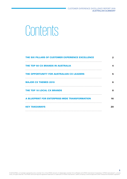# Contents

| THE SIX PILLARS OF CUSTOMER EXPERIENCE EXCELLENCE | 2  |
|---------------------------------------------------|----|
| THE TOP 50 CX BRANDS IN AUSTRALIA                 | 4  |
| THE OPPORTUNITY FOR AUSTRALIAN CX LEADERS         | 5  |
| <b>MAJOR CX THEMES 2019</b>                       | 6  |
| <b>THE TOP 10 LOCAL CX BRANDS</b>                 | 8  |
| A BLUEPRINT FOR ENTERPRISE-WIDE TRANSFORMATION    | 16 |
| <b>KEY TAKEAWAYS</b>                              | 20 |
|                                                   |    |

1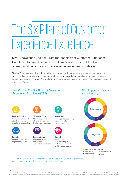# Experience Excellence The Six Pillars of Customer

KPMG developed The Six Pillars methodology of Customer Experience Excellence to provide a precise and practical definition of the kind of emotional outcome a successful experience needs to deliver.

The Six Pillars are inextricably intertwined and when combined provide a powerful mechanism to help organisations understand how well their customer experience is delivered across channels and where they need to improve. The leading firms demonstrate mastery of these pillars and are outstanding across all of them.

### Key Metrics: The Six Pillars of Customer Experience Excellence (CEE)

Pillar impact on loyalty and advocacy



**Personalisation** Using individualised attention to drive an emotional connection.



**Integrity** Being trustworthy and engendering trust.



**Time and Effort** Minimising customer effort and creating frictionless processes.



**Expectations** Managing, meeting and exceeding customer expectations.



**Resolution** Turning a disappointing experience into a great one.



**Empathy** Achieving an understanding of the customer's circumstances to drive deep rapport.



Each of The Six Pillars are weighted based on their statistical correlation to advocacy and customer loyalty with their respective links highlighted.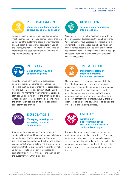

## PERSONALISATION

**Using individualised attention to drive emotional connection**

Personalisation is the most valuable component of most experiences. It involves demonstrating that you understand the customer's specific circumstances and will adapt the experience accordingly. Use of their name, individualised attention, knowledge of preferences and past interactions all add up to an experience that feels personal.



## RESOLUTION

#### **Turning a poor experience into a great one**

Customer recovery is highly important. Even with the best processes and procedures, things will go wrong. Great companies have a process that not only puts the customer back in the position they should have been in as rapidly as possible, but also make the customer feel really good about the experience. A sincere apology and acting with urgency are two crucial elements of successful resolution.



# **INTEGRITY**

**Being trustworthy and engendering trust**

Integrity comes from consistent organisational behaviour that demonstrates trustworthiness. There are trust-building events where organisations need to publicly react to a difficult situation and trust-building moments where individual actions by staff add up to create trust in the organisation as a whole. For all customers, it is the degree to which the organisation delivers on its promises that is consistently top of mind.



## EXPECTATIONS **Managing, meeting and exceeding customer expectations**

Customers have expectations about how their needs will be met, and these are increasingly being set by the best brands they have encountered. Great organisations understand, deliver and exceed expectations. Some are able to make statements of clear intent that set expectations ("never knowingly undersold") while others set the expectation accurately ("delivery in 48 hours") and then delight the customer when they exceed it.



# TIME & EFFORT

#### **Minimising customer effort and creating frictionless processes**

Customers are time-poor and increasingly looking for instant gratification. Removing unnecessary obstacles, impediments and bureaucracy to enable them to achieve their objectives quickly and easily has been shown to increase loyalty. Many companies are discovering how to use time as a source of competitive advantage. Equally, there are clear cost advantages to saving time, as long as the other pillars are not compromised.



# **FMPATHY**

#### **Achieving an understanding of the customer's circumstances to drive deep rapport**

3

Empathy is the emotional capacity to show you understand someone else's experience. Empathycreating behaviours are central to establishing a strong relationship and involve reflecting back to the customer that you know how they feel, then going that one extra step because you understand how they feel.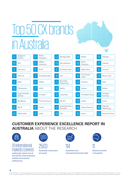# in Australia Top 50 CX brands

|                  | Singapore<br>Airlines        | 02         | <b>RACQ</b><br>Insurance | 03 | Bendigo Bank                 | [1] | PayPal                   | 05 | Afterpay               |
|------------------|------------------------------|------------|--------------------------|----|------------------------------|-----|--------------------------|----|------------------------|
| 06               | ING                          | $\bigcup$  | <b>NRMA</b><br>Insurance | 08 | Dan Murphy's                 | 09  | <b>RACV</b><br>Insurance | 10 | Subway                 |
|                  | The Iconic                   | 12         | Grill'd                  | 13 | The Body Shop                | 14  | Apple Store              | 15 | Suncorp                |
| 16               | Mitre 10                     |            | AustralianSuper          | 18 | Aldi                         | 19  | First Choice<br>Liquor   | 20 | Boost Juice            |
|                  | <b>BWS</b>                   | 22         | <b>OPSM</b>              | 23 | <b>Bunnings</b><br>Warehouse | 24  | Priceline                | 25 | <b>IKEA</b>            |
| 26               | Officeworks                  | 27         | <b>AAMI</b>              | 28 | Netflix                      | 29  | Qantas                   | 30 | Millers                |
| 31               | Virgin Australia<br>Airlines | 32         | Emirates                 | 33 | Liquorland                   | 34  | The Reject Shop          | 35 | Fantastic<br>Furniture |
| 36               | Best&Less                    | 37         | The Good Guys            | 38 | JB Hi-Fi                     | 39  | Airbnb                   | 40 | Kmart                  |
| $\left  \right $ | Big W                        | 42         | Costco                   | 43 | Crust Gourmet<br>Pizza Bar   | 44  | Harvey Norman            | 45 | Chemist<br>Warehouse   |
| 46               | Woolworths                   | $\sqrt{4}$ | Coles                    | 48 | <b>IGA</b>                   | 49  | Hoyts                    | 50 | Domino's Pizza         |

# **CUSTOMER EXPERIENCE EXCELLENCE REPORT IN AUSTRALIA** ABOUT THE RESEARCH



20 international markets covered

making the report one of the world's most extensive studies of consumer preferences.



Australian consumers surveyed



Australian and international brands rated



 Sectors covered in Australia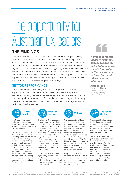#### CUSTOMER EXPERIENCE EXCELLENCE REPORT 2019 *AUSTRALIAN SUMMARY*

# Australian CX leaders The opportunity for

# **THE FINDINGS**

Customer experience scores in Australia reflect good but not great delivery, according to consumers. In our 2019 study the average CEE rating in the Australian market was 7.14, with about three-quarters of companies clustered between 6.5 and 7.5. The overall CEE rating in Australia was only marginally higher (0.04 points) than last year's result, suggesting more impactful investment and effort will be required if brands want to reap the benefits of a truly excellent customer experience. Overall, we find there is still little competition on customer experience in the Australian market, offering an opportunity for brands to disrupt the market and build a lasting competitive advantage.

# SECTOR PERFORMANCE

Consumers are not only looking at a brand's competitors to set their expectations of customer experience. Instead, they are looking across sectors and wanting the best experience they receive in any one sector to be matched by all the other sectors. For brands, this means they should not only measure themselves against their direct competitors but also against standout performers in other sectors.

**Financial** 



The Grocery Retail sector maintains its leading position for customer experience and improved its overall score to 7.4 over the past year.

Dan Murphy's continues to lead the sector in Australia, reflecting continued investment in its wide product range, customer service staff and store way-finding aimed at optimising store experience. Coles and Woolworths have remained constant year-onyear, and with Aldi increasing its CEE score above sector average, there is a widening the gap between Australia's supermarket giants and the German retailer.



result might appear surprising in the light of the Banking Royal Commission, much of the change was driven by the strong performance of newcomers to the study, including RACQ Insurance, Afterpay, NRMA Insurance and RACV Insurance.

In a category that has been significantly disrupted, the smaller brands and fintechs are delivering the high standards of customer experience that other brands should be looking to.



sector have been laggards in customer experience but improved strongly over the past year, demonstrating that customer experience efforts are recognised by Australian consumers. Across the industry there has been an uplift across all of The Six Pillars, highlighting the industry focus on improving customer experience to align with pricing regulations and the roll-out of a new Customer Charter.

Despite the improvement, however, the Utilities sector has more work to do as it remains near the bottom of customer experience rankings in Australia with a CEE of 6.75.



*A breakout market leader in customer experience has the potential to increase the life-time value of their customers, reduce churn and drive customer advocacy.*

**Amanda Hicks**

Partner in Charge Customer, Brand and Marketing Advisory KPMG Australia



We included the Public Sector for the first time and found the public sector citizen experience is a long way behind commercial CX. The sector ranked the lowest of all industry sectors with a CEE of 6.47.

The gap is largest for the public sector for Time & Effort (14% below market average) and Resolution (10% below market average). These results highlight major challenges public sector organisations face with customer experience improvements initiatives: legacy systems and policies, de-centralised data and budget limitations.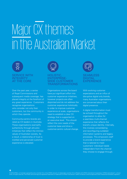# in the Australian Market Major CX themes

# SERVICE WITH **INTEGRITY** AT THE CORE

Over the past year, a series of Royal Commissions and subsequent media coverage, has placed integrity at the forefront of any great experience. Customers recognise organisations who consider not only their customers, but the community in which they operate.

Community-centric brands are rated as CX leaders in Australia. These organisations exemplify authenticity through altruistic initiatives that reflect the intrinsic values of Australian society. As a result, a relationship of trust is instilled and perceived customer experience is elevated.



## HOLISTIC, ENTERPRISE-WIDE CUSTOMER TRANSFORMATIONS

Organisations across the board have put significant effort into customer experience initiatives, however projects are often disjointed and do not address the customer experience holistically. In order to improve customer experience at scale, organisations need to establish a clear CX strategy that is supported on an executive level. This should reflect the core needs of the customer base and drive a customer-centric cultural change.



With evolving customer expectations and an influx of disruptive digital only brands, many Australian organisations are concerned about their digital presence.

A digital transformation must be echoed throughout the organisation to allow for a seamless multi-channel experience that reflects the brand's unique identity. Internally, this involves consolidating and reconfiguring outdated information systems and legacy processes. This empowers staff to provide a brand experience that is tailored to meet customers' individual needs independent from the channel they choose to engage through.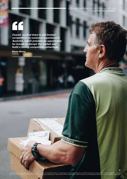CUSTOMER EXPERIENCE EXCELLENCE REPORT 2019 *AUSTRALIAN SUMMARY*

# "

**Overall, we find there is still limited**  *competition on customer experience in Australia, which provides an opportunity for brands to disrupt the market and build a lasting competitive advantage.*

 $\gamma l_1$ 

**Maree Mamo** Partner Customer, Brand & Marketing Advisory

**CVREXCE**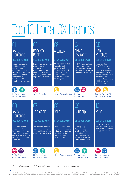# Top 10 Local CX brands1

| RACO<br>Insurance                                                                                                                                                                                                                | <b>Bendigo</b><br><b>Bank</b>                                                                                                                                                           | $\bigcap_{i=1}^{n}$<br>Afterpay                                                                                                                                                                   | <b>NRMA</b><br>Insurance                                                                                                                                                       | Dan<br>Murphy's                                                                                                                                                                                                                                        |
|----------------------------------------------------------------------------------------------------------------------------------------------------------------------------------------------------------------------------------|-----------------------------------------------------------------------------------------------------------------------------------------------------------------------------------------|---------------------------------------------------------------------------------------------------------------------------------------------------------------------------------------------------|--------------------------------------------------------------------------------------------------------------------------------------------------------------------------------|--------------------------------------------------------------------------------------------------------------------------------------------------------------------------------------------------------------------------------------------------------|
| CEE SCORE 7.83<br>RACQ Insurance is<br>the highest rated<br>local CX brand.<br><b>Customers comment</b><br>about RACQ Insurance's<br>excellent customer<br>service and rate the<br>brand highest for<br>Resolution in Australia. | CEE SCORE 7.78<br>Bendigo Bank embodies<br>both customer<br>and citizen-centric<br>views, exemplifying<br>the operation of an<br>authentic, values-driven<br>organisation in Australia. | CEE SCORE 7.74<br>Afterpay demonstrates<br>Australia-leading<br>performance in<br>Personalisation and<br>is amongst the top<br>five for Time and<br><b>Effort, Expectations</b><br>and Integrity. | CEE SCORE 7.65<br>NRMA Insurance have<br>engaged customers<br>through reliable service,<br>seamless processes and<br>community advocacy.                                       | CEE SCORE 7.61<br>Personalisation and<br>Time & Effort were<br>key pillars that Dan<br>Murphy's outperform<br>other brands on, with<br>customers expressing<br>interest in Dan<br>Murphy's liquor range,<br>which is inclusive of<br>over 9,000 wines. |
| <br>1st for Integrity<br>1st for Resolution                                                                                                                                                                                      | 1st for Empathy                                                                                                                                                                         | 1st for Personalisation                                                                                                                                                                           | 5th for Integrity<br>5th for Empathy                                                                                                                                           | 2nd for Time & Effort<br>4th for Personalisation                                                                                                                                                                                                       |
|                                                                                                                                                                                                                                  |                                                                                                                                                                                         |                                                                                                                                                                                                   |                                                                                                                                                                                |                                                                                                                                                                                                                                                        |
| $\theta$<br>RACV                                                                                                                                                                                                                 | The Iconic                                                                                                                                                                              | 08<br>Grill'd                                                                                                                                                                                     | IJЧ<br>Suncorp                                                                                                                                                                 | Mitre 10                                                                                                                                                                                                                                               |
| Insurance<br>CEE SCORE 7.59<br><b>RACV Insurance's</b><br>success is reflected<br>in its actions, listening<br>to customers, managing<br>customer expectations<br>and standing for more<br>than profit.                          | CEE SCORE 7.59<br>The Iconic have proved<br>customers can shop<br>with confidence without<br>entering a physical store.                                                                 | CEE SCORE 7.58<br>Grill'd continually seek<br>innovative methods to<br>delight, with customer<br>experience at the<br>forefront of their<br>value proposition.                                    | CEE SCORE 7.56<br>Suncorp's top 10<br>Australian placing<br>is reflective of their<br>reputation as a<br>customer-centric and<br>values-driven banking<br>and insurance group. | CEE SCORE 7.55<br>Community based<br>organisation with a deep<br>understand and respect<br>for customer needs.                                                                                                                                         |

*1 This ranking considers only brands with their headquarters located in Australia.*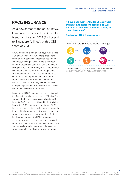# **RACQ INSURANCE**

As a newcomer to the study, RACQ Insurance has topped the Australian brand rankings for 2019 (2nd overall to Singapore Airlines), with a CEE score of 783

RACQ Insurance is part of The Royal Automobile Club of Queensland (RACQ) group that offers a range of products such as roadside assistance, insurance, banking or travel. Being a memberowned mutual organisation, RACQ is focused on giving back to the community: RACQ's foundation has helped over 190 community groups since its inception in 2011, and it has so far approved \$678,569 in funding for various community organisations. Furthermore, RACQ recently teamed up with Former Origin Greats (FOGs) to help Indigenous students secure their licence and drive safely behind the wheel.

In our study, RACQ Insurance has outperformed the Australian market across each of The Six Pillars and was the highest ranking Australian brand for Integrity (7.92) and the best brand in Australia for Resolution (7.86). Customers mentioned RACQ Insurance consistently provided an experience that they could rely on, where efficiency, urgency and empathy were regularly demonstrated. Customers felt their experience with RACQ Insurance remained reliable across channels and highlighted personal service, effectiveness, ease to deal with and simplicity of policy communications as key determinants for their loyalty toward the brand.

**"I have been with RACQ for 20-odd years and have had excellent service and will continue to stay with them for as long as I need insurance."** 

### Australian CEE Respondent



*\* This number highlights the brand's outperformance of the overall Australian market against each pillar.*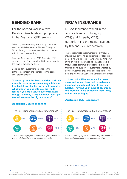# **BENDIGO BANK**

For the second year in a row, Bendigo Bank holds a top 3 position in the Australian CEE rankings.

Driven by its community feel, strong customer service and delivery on the Time & Effort pillar (8.18), Bendigo continues to widely promote and exhibit customer-centricity.

Bendigo Bank topped the 2019 Australian CEE rankings in the Empathy pillar (7.50), outperforming the market average by 16%.

Bendigo Bank customers emphasise the extra care, concern and friendliness the bank consistently displays.

**"I cannot praise this bank and their attitude towards customer service enough. It is the first bank I ever banked with that no matter what branch you go into you are made feel as if you are a valued customer. Even though I am only a tiny customer I feel I get treated same as the big customers."** 

# **NRMA INSURANCE**

NRMA Insurance ranked in the top five brands for Integrity (7.69) and Empathy (7.23), outperforming the market average by 8% and 12% respectively.

They substantiate customer-centricity through staying true to their brand promise of "Help is not something we do. Help is who we are." One way in which NRMA Insurance helps Australian's is through local community support. As a result of their on-going support for customers affected by adverse weather, they are a principle partner for both the NSW and QLD State Emergency Services.

**"I have had NRMA Insurance for many years and when I have had to make a car insurance claim found them to be very helpful. They put your mind at ease from the moment I have contacted them. They follow everything up."**

#### Australian CEE Respondent



*\* This number highlights the brand's outperformance of the overall Australian market against each pillar.*

### Australian CEE Respondent

10



*\* This number highlights the brand's outperformance of the overall Australian market against each pillar.*

#### *Source:* NRMA website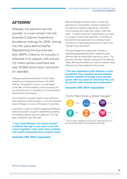# **AFTERPAY**

Afterpay, the payment service provider, is a new entrant into the Australia Customer Experience Excellence rankings for 2019; moving into fifth place behind PayPal. Representing the buy-now-paylater (BNPL) industry, its success is reflected in its ubiquity with around 3.5 million active customers and over 25,000 active retail merchants on- boarded.

Afterpay's performance across The Six Pillars underlies its strong performance in the 2019 ranking. The payment service is a local leader in the pillar of Personalisation and is amongst the top five performers in the pillars of Time and Effort, Expectations and Integrity.

The company's business model is less restrictive than traditional credit providers, in turn this flexibility. allows Afterpay to move at the pace of customers.

A growing number of retailers displaying Afterpay's services has been crucial for establishing solidarity and building rapport with its customers. This has been reflected in the CEE data.

**"I can't fault Afterpay, the whole concept is brilliant, the app is very easy to use and I use it regularly, I have never had a problem and would recommend this company easily."**

#### Australia CEE 2019 respondent

Behind Afterpay's network effect is what they describe as a 'frictionless customer experience'. The payment method understands customers' circumstances and helps them obtain what they need. It recalls customers' shared history and uses it to support responsible spending. Purchases on the platform are approved on an individual basis and failure to make payments prevents users from making further purchases.

The technology-driven payments company is expanding geographically and is exploring other services that can potentially improve its utility. The business has also recently introduced Cross Border Trade, allowing Australians to make purchases using Afterpay from New Zealand online stores.

**"The user experience with Afterpay is truly wonderful. Easy, intuitive on-line website and the freedom of buying much-needed goods with the peace of mind that they can be paid for with interest-free instalments."**

#### Australia CEE 2019 respondent



*\* This number highlights the brand's outperformance of the overall Australian market against each pillar.*

11

#### *Source:* [Afterpay website](https://www.afterpay.com/en-AU/index).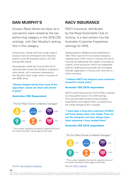# **DAN MURPHY'S**

Grocery Retail (driven by liquor as a sub-sector) were ranked as the top performing category in the 2019 CEE rankings, with Dan Murphy's ranking first in this category.

Convenience, friendly staff and a wide range of products have all contributed to Dan Murphy's position as the #5 Australian brand in the CEE rankings (#8 overall).

Personalisation (8.04) and Time & Effort (8.21) were key pillars where Dan Murphy's outperform other brands, with customers impressed by Dan Murphy's liquor range, which is inclusive of over 9000 wines.

### **"Always cheaper prices than most of the opposition, stores are clean and service is good."**

### Australian CEE Respondent



*\* This number highlights the brand's outperformance of the overall Australian market against each pillar.*

# **RACV INSURANCE**

RACV Insurance, distributed by the Royal Automobile Club of Victoria, is a new entrant into the Australian Customer Experience rankings for 2019.

Headquartered in Melbourne and established in 1924, RACV was the first to provide emergency roadside assist. RACV exists to improve the lives of Victorians by addressing their needs in the areas of mobility, home and leisure. RACV has established itself as a leading service provider and the largest member organisation in Victoria with more than 2.1 million members.

#### **"I believe RACV has become more customer focused in recent years."**

### Australia CEE 2019 respondent

RACV's performance across The Six Pillars underlies its strong performance in the 2019 rankings. This was particularly evident across Empathy, Expectations and Integrity Pillars, out performing the market average by 8% or greater.

**"I have been a long-time customer of RACV and have always been very happy. They are not the cheapest, but have always been there whenever I have needed them."**

#### Australia CEE 2019 respondent



*\* This number highlights the brand's outperformance of the overall Australian market against each pillar.*

*Source:* [Dan Murphy's website](https://www.danmurphys.com.au/dm/home) *Source:* [RACV website](https://www.racv.com.au/?&pid=sem&cmpid=racv:sem&gclid=EAIaIQobChMIucW09unW5AIVCB4rCh0e7A_lEAAYASAAEgLo7fD_BwE&gclsrc=aw.ds)

12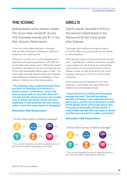# **THE ICONIC**

Sydney-based online fashion retailer The Iconic have ranked #7 across CEE Australian brands and #1 in the Non- Grocery Retail sector.

In line with other digital offerings in Australia, they rank #6 in Australia for Resolution (7.54) and outperform the market by 8%.

The Iconic's mission is to "to turn shopping into a seamless and inspiring experience" with 200 new arrivals daily and a range of over 1000 of the world's top brands. According to the Iconic its app was one of the most downloaded fashion apps in 2018. The Iconic offer same-day delivery across key Australian cities (Melbourne, Brisbane and Adelaide), 3 hour delivery in Sydney and a free returns policy.

**"The clothing I have ordered through them has been as described and arrived in a timely manner. Furthermore, when I did have an issue with an item (the dress did not suit me) the returns process was simple, easy to follow and quick, which was very surprising. It was probably the best returns policy I have ever experienced in shopping!"** 

### Australian CEE Respondent



*\* This number highlights the brand's outperformance of the overall Australian market against each pillar.*

# **GRILL'D**

Eighth overall, Australia's Grill'd is the second ranked brand in the Restaurant & Fast Food sector after Subway.

The burger chain performs strongly across all of The Six Pillars and is among the top ten brands for Personalisation.

Grill'd actively supports community events through their "Local Matters" initiative. Customers are given a cap to place into one of three jars representing local charities of choice and the charity with the highest number of caps at the end of the month are given a donation by Grill'd, as voted by their customers.

Grill'd actively sources ingredients from local producers, which keeps their food distribution footprint low and ingredients fresh.

**"I have had lunch at Grill'd and thoroughly enjoyed the food. The staff are always friendly and happy. I also really like that you get to put a cap into one of three jars to help Grill'd decide which community group they are going to financially aid that month. It really makes you feel like your input is valued and that you are part of a wider community."** 

#### Australian CEE Respondent



*\* This number highlights the brand's outperformance of the overall Australian market against each pillar.*

13

#### *Source:* The Iconic website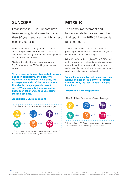# **SUNCORP**

Established in 1902, Suncorp have been insuring Australians for more than 90 years and are the fifth largest bank in Australia.

Suncorp ranked fifth among Australian brands on the Integrity pillar and Resolution pillar, with customers mentioning its insurance claims process as streamlined and efficient.

The bank has significantly out-performed the Big Four banks in the CEE rankings for the past two years.

**"I have been with many banks, but Suncorp has been consistently the best. Why? No matter what branch I have used, the management and staff become far more like friends than just people there to serve. When regularly there, we got to know each other and ended up sharing stories each time."**

### Australian CEE Respondent



*\* This number highlights the brand's outperformance of the overall Australian market against each pillar.*

# **MITRE 10**

The home improvement and hardware retailer has secured the final spot in the 2019 CEE Australian rankings top 10.

Since the last study Mitre 10 has been rated 0.21 points higher by Australian consumers and gained seven places in the CEE rankings.

Mitre 10 performed strongly on Time & Effort (8.02), which is evident through understanding customer needs, in particular store way-finding, product variety and clarity of advice. As a result, customers continue to advocate for the brand.

**"A small store nearby that has always been helpful and has the majority of products I require. They are local people who give local help."** 

### Australian CEE Respondent



*\* This number highlights the brand's outperformance of the overall Australian market against each pillar.*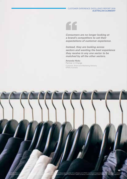"

*Consumers are no longer looking at a brand's competitors to set their expectations of customer experience.* 

*Instead, they are looking across sectors and wanting the best experience they receive in any one sector to be matched by all the other sectors.* 

**Amanda Hicks** Partner in Charge Customer, Brand and Marketing Advisory KPMG Australia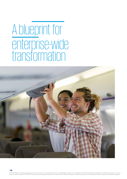# A blueprint for enterprise-wide transformation



© 2019 KPMG, an Australian partnership and a member firm of the KPMG network of independent member firms affiliated with KPMG International Cooperative ("KPMG International"), a Swiss<br>entity. All rights reserved. The KPMG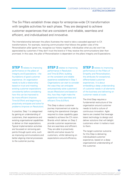The Six Pillars establish three steps for enterprise-wide CX transformation with tangible activities for each phase. They are designed to achieve customer experiences that are consistent and reliable, seamless and efficient, and individualised and innovative.

The interrelationship between the pillars illustrates the need to take a cascaded approach to CX transformations. For example, receiving communication that follows the golden rules of the Personalisation pillar (greet me, recognise our history together, individualise what you do) won't be appreciated by customers if they don't trust the brand or if they receive the communications later than promised. In this case, the pillar of Personalisation is dependent on the pillars Integrity and Expectations.

**STEP 1** relates to improving performance on the pillars of Integrity and Expectations – the foundations of good customer experience. An organisation needs to build a relationship based on trust and meeting existing customer expectations consistently before considering how this can be improved to be more efficient (improve Time & Effort) and beginning to proactively anticipate and solve for problems (improve on Resolution).

In practice, Step 1 is categorised by gaining an understanding of customers, their experience and existing organisational capabilities to deliver on their expectations. Typical implementation activities are focussed on removing pain points through quick wins, such as improving communications and better aligning internal processes to the customer journey.

**STEP 2** relates to improving performance in Resolution and Time & Effort, building on the consistent and reliable experience established in Step 1. Organisations can start to consider the ways they can anticipate and proactively solve customers' issues (Resolution) and based on this, how they might make the experience more seamless and efficient (Time & Effort).

This Step is about customer journey improvement at scale by making the operational changes required to close capability gaps needed to achieve the CX vision. Brands which deliver on Step 2 provide customer experiences that are seamless and efficient. They are able to proactively identify and solve issues for customers, whilst delivering on expectations around efficiency.

**STEP 3** relates to improving performance on the Pillars of Empathy and Personalisation, the attributes for exceptional, differentiated customer experiences. It is about embedding a deep understanding of customer needs in all elements of the business and delivering on customer needs at scale.

The third Step requires a fundamental restructure of the organisation around customer needs to build a culture of continuous innovation. Agile teams are created that leverage latest technology to design and deliver solutions that will delight customers when it matters most to them.

The target customer outcome for this Step is delivering individualised customer experience, based on a deep organisational understanding of the customer.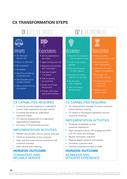# **CX TRANSFORMATION STEPS**

# 01|SET THE BASICS



# ntearitv

- Do what you say you will
- Keep me informed
- Be competent
- Be likeable
- Stand for something more than profit
- Demonstrably act in my best interest
- Show concern for me as a person

# **Expectations**

- Set my expectations accurately
- Agree timings with me
- Respond more quickly than I anticipate
- Use plain English – no jargon
- Fulfil or exceed our promises
- Guide me through the process
- Provide information openly and honestly

# CX CAPABILITIES REQUIRED

- **•** Customer journey mapping to understand current state experience and pain points
- **•** Customer personas to understand customer needs
- **•** CX maturity assessment to understand organisational capabilities
- **•** CX vision, CVP and brand promise

# IMPLEMENTATION ACTIVITIES

- **•** Refresh and simplify comms across channels
- **•** Clarity on ownership of the customer
- **•** Align and automate internal workflows with customer journeys
- **•** Staff training and coaching

# HORIZON OUTCOME CONSISTENT AND RELIABLE SERVICE

# 02|OPERATIONALISE

# **Resolution**

- Assume my innocence – see my point of view
- A warm and sincere apology
- Own the resolution – fix with urgency
- Surprise me in how well you fix my issue
- Go the extra mile if required
- Give me options going forward

# Time & Effort

- investment pleasurable
- Give me simple clear instructions
- steps to my objective
- No longer than 2 minutes waiting
- Provide the answers I need when
- Advise me of pitfalls ahead

# CX CAPABILITIES REQUIRED

- **•** CX measurement strategy to ensure customer centric decision making
	- CX toolkit to reconfigure operations around customer centricity

# IMPLEMENTATION ACTIVITIES

- **•** Empower employees to own customer experience
- **•** Align company culture, HR strategy and KPIs with CX vision and strategy
- **•** Review third party contracts
- **•** Replace legacy systems and policies
- **•** Centralise customer data
- **•** Improve customer journeys at scale

## HORIZON OUTCOME SEAMLESS AND EFFICIENT EXPERIENCE

18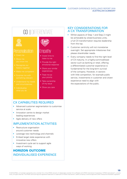#### CUSTOMER EXPERIENCE EXCELLENCE REPORT 2019 *AUSTRALIAN SUMMARY*

# 03|DIFFERENTIATE



# Personalisation

- 
- 
- 
- 
- 
- 
- 



# Empathy

- Invest time to listen to me
- Provide the right emotional response
- Share your similar experiences
- Treat me as your priority
- Take ownership of my issue
- Show you care

# KEY CONSIDERATIONS FOR A CX TRANSFORMATION

- **•** Whilst aspects of Step 1 and Step 2 might be achievable by siloed business units, a full CX transformation requires leadership from the top.
- **•** Customer centricity will not monetarise overnight. Set appropriate milestones that please shareholder needs.
- **•** Every company needs to find the right level of CX maturity. In a highly-commoditised sector such as banking or retail, offering a differentiated customer experience is fundamental for the long-term survival of the company. However, in sectors with little competition, for example public service, investments in customer and citizen experience need to align with the expectations of the public.

# CX CAPABILITIES REQUIRED

- **•** Advanced customer segmentation to customise service at scale
- **•** Innovation centre to design market leading experiences
- **•** Agile delivery of new offers

# IMPLEMENTATION ACTIVITIES

- **•** Restructure organisation around customer needs
- **•** Leverage new technology and channels
- **•** Embed target state experience with innovative new offers
- **•** Investment cycle set to support agile ways of working

# HORIZON OUTCOME INDIVIDUALISED EXPERIENCE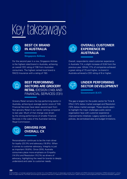# takeaways



# **BEST CX BRAND IN AUSTRALIA**

#### **Singapore Airlines**

For the second year in a row, Singapore Airlines is the highest rated brand in Australia, achieving an overall CEE rating of 7.90 from Australian consumers. The highest ranked local brand is RACQ Insurance with a rating of 7.83.



# **BEST PERFORMING SECTORS ARE GROCERY RETAIL** (DESIGN (7.40) AND FINANCIAL SERVICES (7.31)

Grocery Retail remains the top performing sector in Australia, achieving an average sector score of 7.40. Financial Services have taken second spot from Non-grocery Retail in our sector ranking compared to last year. Much of that change was driven by the strong performance of smaller Financial Services in the wake of the Australian banking Royal Commission.



# **DRIVERS FOR OVERALL CX**

Personalisation continues to be the main driver for loyalty (23.3%) and advocacy (18.9%). When it comes to customer advocacy, Integrity is just as important (18.8%). Since 2018, Australia consumers place more emphasis on Empathy (14.5%) and Resolution (15.2%) as drivers of advocacy, highlighting the need for brands to deeply understand and cater to customer needs.



# **OVERALL CUSTOMER EXPERIENCE IN AUSTRALIA**

Overall, respondents rated customer experience in Australia 7.14, a slight increase of 0.04 from the previous year. Whilst 17% of companies achieved a great rating of 7.5 and higher, no brand in Australia achieved a CEE rating of 8 or higher.



# **UNDER PERFORMING SECTOR DEVELOPMENT**

**Government (6.47)**

The gap is largest for the public sector for Time & Effort (14% below market average) and Resolution (10% below market average). These results seem to highlight the major challenges public sector organisation face with customer experience improvements initiatives: Legacy systems and policies, de-centralised data and budget limitations.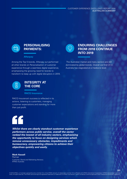#### CUSTOMER EXPERIENCE EXCELLENCE REPORT 2019 *AUSTRALIAN SUMMARY*



# **PERSONALISING PAYMENTS:**

#### **Afterpay**

Among the Top 5 brands, Afterpay out performed all other brands on Personalisation of customer experience through a seamless digital experience, emphasising the growing need for brands to transform to keep up with digital disruptors in 2019.



# **INTEGRITY AT THE CORE**

**RACQ Insurance**

RACQ Insurance's success is reflected in its actions, listening to customers, managing customer expectations and standing for more than just profit.



*Whilst there are clearly standout customer experience performers across public service, overall the sector ranked the lowest of all industry sectors, emphasising the opportunity to focus on designing services which remove unnecessary obstacles, impediments and bureaucracy, empowering citizens to achieve their objectives quickly and easily.*

#### **Mark Hassell** Partner Customer, Brand and Marketing Advisory KPMG Australia



# **ENDURING CHALLENGES FROM 2018 CONTINUE INTO 2019**

 The Australian market and many sectors are still dominated by global brands. Overall we find CX in Australia has stagnated at a mediocre level.